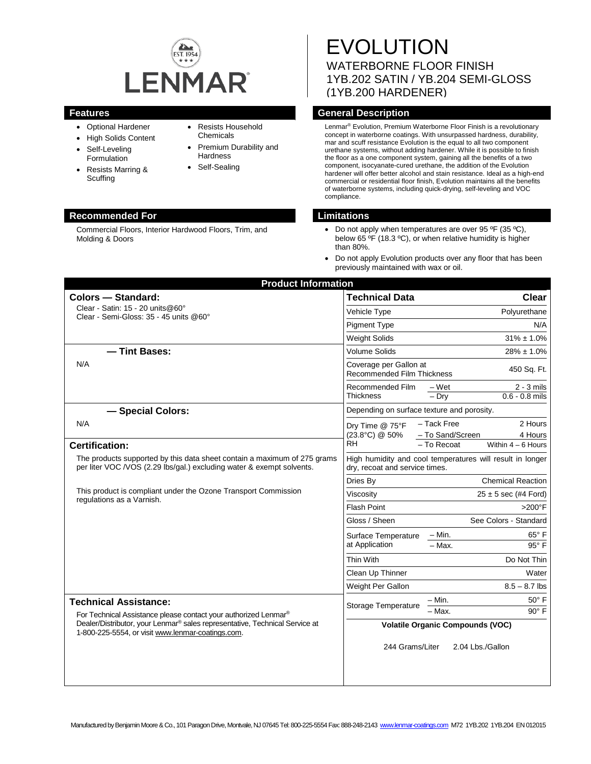

- Optional Hardener
- High Solids Content
- Self-Leveling Formulation
- Resists Marring & **Scuffing**
- Resists Household Chemicals
- Premium Durability and **Hardness**
- Self-Sealing

#### **Recommended For Limitations**

Commercial Floors, Interior Hardwood Floors, Trim, and Molding & Doors

# EVOLUTION WATERBORNE FLOOR FINISH 1YB.202 SATIN / YB.204 SEMI-GLOSS (1YB.200 HARDENER)

# **Features General Description**

Lenmar® Evolution, Premium Waterborne Floor Finish is a revolutionary concept in waterborne coatings. With unsurpassed hardness, durability, mar and scuff resistance Evolution is the equal to all two component urethane systems, without adding hardener. While it is possible to finish the floor as a one component system, gaining all the benefits of a two component, isocyanate-cured urethane, the addition of the Evolution hardener will offer better alcohol and stain resistance. Ideal as a high-end commercial or residential floor finish, Evolution maintains all the benefits of waterborne systems, including quick-drying, self-leveling and VOC compliance.

- Do not apply when temperatures are over 95 °F (35 °C), below 65 °F (18.3 °C), or when relative humidity is higher than 80%.
- Do not apply Evolution products over any floor that has been previously maintained with wax or oil.

| <b>Product Information</b>                                                                                                                                                                                                                      |                                                      |                                                                                              |
|-------------------------------------------------------------------------------------------------------------------------------------------------------------------------------------------------------------------------------------------------|------------------------------------------------------|----------------------------------------------------------------------------------------------|
| <b>Colors - Standard:</b>                                                                                                                                                                                                                       | <b>Technical Data</b>                                | Clear                                                                                        |
| Clear - Satin: 15 - 20 units@60°<br>Clear - Semi-Gloss: 35 - 45 units @60°                                                                                                                                                                      | Vehicle Type                                         | Polyurethane                                                                                 |
|                                                                                                                                                                                                                                                 | <b>Pigment Type</b>                                  | N/A                                                                                          |
|                                                                                                                                                                                                                                                 | <b>Weight Solids</b>                                 | $31\% \pm 1.0\%$                                                                             |
| - Tint Bases:<br>N/A                                                                                                                                                                                                                            | <b>Volume Solids</b>                                 | $28\% \pm 1.0\%$                                                                             |
|                                                                                                                                                                                                                                                 | Coverage per Gallon at<br>Recommended Film Thickness | 450 Sq. Ft.                                                                                  |
|                                                                                                                                                                                                                                                 | Recommended Film<br><b>Thickness</b>                 | $2 - 3$ mils<br>– Wet<br>$0.6 - 0.8$ mils<br>$-$ Drv                                         |
| - Special Colors:                                                                                                                                                                                                                               | Depending on surface texture and porosity.           |                                                                                              |
| N/A<br><b>Certification:</b>                                                                                                                                                                                                                    | Dry Time @ 75°F<br>(23.8°C) @ 50%<br>RH              | 2 Hours<br>- Tack Free<br>- To Sand/Screen<br>4 Hours<br>$-$ To Recoat<br>Within $4-6$ Hours |
| The products supported by this data sheet contain a maximum of 275 grams<br>per liter VOC /VOS (2.29 lbs/gal.) excluding water & exempt solvents.                                                                                               | dry, recoat and service times.                       | High humidity and cool temperatures will result in longer                                    |
| This product is compliant under the Ozone Transport Commission<br>regulations as a Varnish.                                                                                                                                                     | Dries By                                             | <b>Chemical Reaction</b>                                                                     |
|                                                                                                                                                                                                                                                 | Viscosity                                            | $25 \pm 5$ sec (#4 Ford)                                                                     |
|                                                                                                                                                                                                                                                 | <b>Flash Point</b>                                   | $>200^\circ$ F                                                                               |
|                                                                                                                                                                                                                                                 | Gloss / Sheen                                        | See Colors - Standard                                                                        |
|                                                                                                                                                                                                                                                 | Surface Temperature<br>at Application                | $65^{\circ}$ F<br>– Min.                                                                     |
|                                                                                                                                                                                                                                                 |                                                      | 95° F<br>$-$ Max.                                                                            |
|                                                                                                                                                                                                                                                 | Thin With                                            | Do Not Thin                                                                                  |
|                                                                                                                                                                                                                                                 | Clean Up Thinner                                     | Water                                                                                        |
|                                                                                                                                                                                                                                                 | Weight Per Gallon                                    | $8.5 - 8.7$ lbs                                                                              |
| <b>Technical Assistance:</b><br>For Technical Assistance please contact your authorized Lenmar®<br>Dealer/Distributor, your Lenmar <sup>®</sup> sales representative, Technical Service at<br>1-800-225-5554, or visit www.lenmar-coatings.com. | Storage Temperature                                  | 50° F<br>– Min.<br>$-\overline{\text{Max}}$ .<br>$90^\circ$ F                                |
|                                                                                                                                                                                                                                                 |                                                      | <b>Volatile Organic Compounds (VOC)</b>                                                      |
|                                                                                                                                                                                                                                                 | 244 Grams/Liter                                      | 2.04 Lbs./Gallon                                                                             |